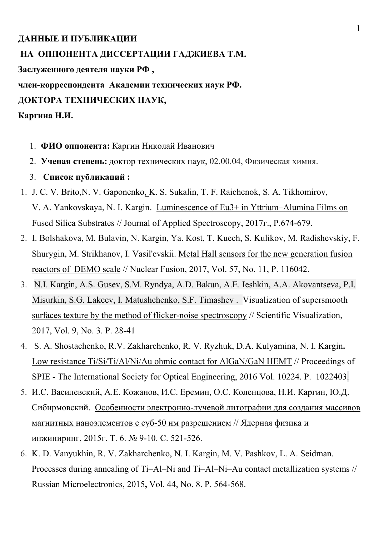# **ДАННЫЕ И ПУБЛИКАЦИИ НА ОППОНЕНТА ДИССЕРТАЦИИ ГАДЖИЕВА Т.М. Заслуженного деятеля науки РФ , член-корреспондента Академии технических наук РФ. ДОКТОРА ТЕХНИЧЕСКИХ НАУК, Каргина Н.И.**

- 1. **ФИО оппонента:** Каргин Николай Иванович
- 2. **Ученая степень:** доктор технических наук, 02.00.04, Физическая химия.
- 3. **Список публикаций :**
- 1. J. C. V. Brito,N. V. Gaponenko, K. S. Sukalin, T. F. Raichenok, S. A. Tikhomirov, V. A. Yankovskaya, N. I. Kargin. Luminescence of Eu3+ in Yttrium–Alumina Films on Fused Silica Substrates // Journal of Applied Spectroscopy, 2017г., P.674-679.
- 2. I. Bolshakova, M. Bulavin, N. Kargin, Ya. Kost, T. Kuech, S. Kulikov, M. Radishevskiy, F. Shurygin, M. Strikhanov, I. Vasil'evskii. Metal Hall sensors for the new generation fusion reactors of DEMO scale // Nuclear Fusion, 2017, Vol. 57, No. 11, P. 116042.
- 3. N.I. Kargin, A.S. Gusev, S.M. Ryndya, A.D. Bakun, A.E. Ieshkin, A.A. Akovantseva, P.I. Misurkin, S.G. Lakeev, I. Matushchenko, S.F. Timashev . Visualization of supersmooth surfaces texture by the method of flicker-noise spectroscopy // Scientific Visualization, 2017, Vol. 9, No. 3. P. 28-41
- 4. S. A. Shostachenko, R.V. Zakharchenko, R. V. Ryzhuk, D.A. Kulyamina, N. I. Kargin**.**  Low resistance Ti/Si/Ti/Al/Ni/Au ohmic contact for AlGaN/GaN HEMT // Proceedings of SPIE - The International Society for Optical Engineering, 2016 Vol. 10224. P. 1022403.
- 5. И.С. Василевский, А.Е. Кожанов, И.С. Еремин, О.С. Коленцова, Н.И. Каргин, Ю.Д. Сибирмовский. Особенности электронно-лучевой литографии для создания массивов магнитных наноэлементов с суб-50 нм разрешением // Ядерная физика и инжиниринг, 2015г. Т. 6. № 9-10. С. 521-526.
- 6. K. D. Vanyukhin, R. V. Zakharchenko, N. I. Kargin, M. V. Pashkov, L. A. Seidman. Processes during annealing of Ti–Al–Ni and Ti–Al–Ni–Au contact metallization systems // Russian Microelectronics, 2015**,** Vol. 44, No. 8. P. 564-568.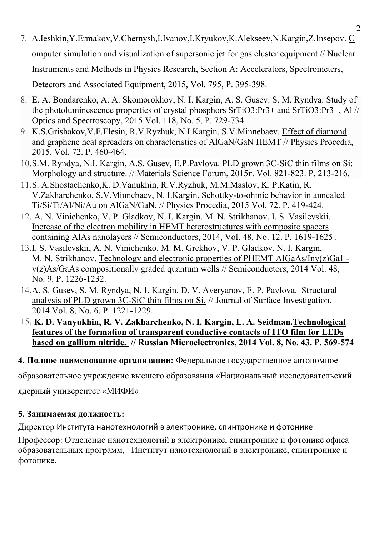- 7. A.Ieshkin,Y.Ermakov,V.Chernysh,I.Ivanov,I.Kryukov,K.Alekseev,N.Kargin,Z.Insepov. C omputer simulation and visualization of supersonic jet for gas cluster equipment // Nuclear Instruments and Methods in Physics Research, Section A: Accelerators, Spectrometers, Detectors and Associated Equipment, 2015, Vol. 795, P. 395-398.
- 8. E. A. Bondarenko, A. A. Skomorokhov, N. I. Kargin, A. S. Gusev. S. M. Ryndya. Study of the photoluminescence properties of crystal phosphors SrTiO3:Pr3+ and SrTiO3:Pr3+, Al // Optics and Spectroscopy, 2015 Vol. 118, No. 5, P. 729-734.
- 9. K.S.Grishakov,V.F.Elesin, R.V.Ryzhuk, N.I.Kargin, S.V.Minnebaev. Effect of diamond and graphene heat spreaders on characteristics of AlGaN/GaN HEMT // Physics Procedia, 2015. Vol. 72. P. 460-464.
- 10.S.M. Ryndya, N.I. Kargin, A.S. Gusev, E.P.Pavlova. PLD grown 3C-SiC thin films on Si: Morphology and structure. // Materials Science Forum, 2015г. Vol. 821-823. P. 213-216.
- 11.S. A.Shostachenko,K. D.Vanukhin, R.V.Ryzhuk, M.M.Maslov, K. P.Katin, R. V.Zakharchenko, S.V.Minnebaev, N. I.Kargin. Schottky-to-ohmic behavior in annealed Ti/Si/Ti/Al/Ni/Au on AlGaN/GaN. // Physics Procedia, 2015 Vol. 72. P. 419-424.
- 12. A. N. Vinichenko, V. P. Gladkov, N. I. Kargin, M. N. Strikhanov, I. S. Vasilevskii. Increase of the electron mobility in HEMT heterostructures with composite spacers containing AlAs nanolayers // Semiconductors, 2014, Vol. 48, No. 12. P. 1619-1625 .
- 13.I. S. Vasilevskii, A. N. Vinichenko, M. M. Grekhov, V. P. Gladkov, N. I. Kargin, M. N. Strikhanov. Technology and electronic properties of PHEMT AlGaAs/Iny(z)Ga1 y(z)As/GaAs compositionally graded quantum wells // Semiconductors, 2014 Vol. 48, No. 9. P. 1226-1232.
- 14.A. S. Gusev, S. M. Ryndya, N. I. Kargin, D. V. Averyanov, E. P. Pavlova. Structural analysis of PLD grown 3C-SiC thin films on Si. // Journal of Surface Investigation, 2014 Vol. 8, No. 6. P. 1221-1229.
- 15. **K. D. Vanyukhin, R. V. Zakharchenko, N. I. Kargin, L. A. Seidman.Technological features of the formation of transparent conductive contacts of ITO film for LEDs based on gallium nitride. // Russian Microelectronics, 2014 Vol. 8, No. 43. P. 569-574**

### **4. Полное наименование организации:** Федеральное государственное автономное

образовательное учреждение высшего образования «Национальный исследовательский

ядерный университет «МИФИ»

### **5. Занимаемая должность:**

Директор Института нанотехнологий в электронике, спинтронике и фотонике

Профессор: Отделение нанотехнологий в электронике, спинтронике и фотонике офиса образовательных программ, Институт нанотехнологий в электронике, спинтронике и фотонике.